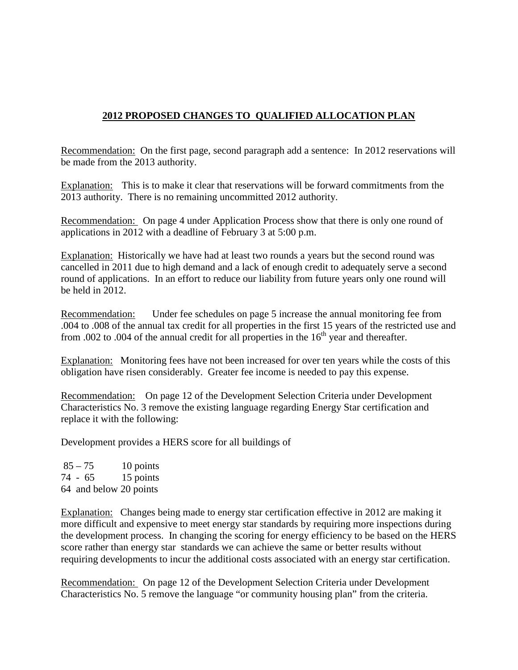## **2012 PROPOSED CHANGES TO QUALIFIED ALLOCATION PLAN**

Recommendation: On the first page, second paragraph add a sentence: In 2012 reservations will be made from the 2013 authority.

Explanation: This is to make it clear that reservations will be forward commitments from the 2013 authority. There is no remaining uncommitted 2012 authority.

Recommendation: On page 4 under Application Process show that there is only one round of applications in 2012 with a deadline of February 3 at 5:00 p.m.

Explanation: Historically we have had at least two rounds a years but the second round was cancelled in 2011 due to high demand and a lack of enough credit to adequately serve a second round of applications. In an effort to reduce our liability from future years only one round will be held in 2012.

Recommendation: Under fee schedules on page 5 increase the annual monitoring fee from .004 to .008 of the annual tax credit for all properties in the first 15 years of the restricted use and from .002 to .004 of the annual credit for all properties in the  $16<sup>th</sup>$  year and thereafter.

Explanation: Monitoring fees have not been increased for over ten years while the costs of this obligation have risen considerably. Greater fee income is needed to pay this expense.

Recommendation: On page 12 of the Development Selection Criteria under Development Characteristics No. 3 remove the existing language regarding Energy Star certification and replace it with the following:

Development provides a HERS score for all buildings of

 $85 - 75$  10 points 74 - 65 15 points 64 and below 20 points

Explanation: Changes being made to energy star certification effective in 2012 are making it more difficult and expensive to meet energy star standards by requiring more inspections during the development process. In changing the scoring for energy efficiency to be based on the HERS score rather than energy star standards we can achieve the same or better results without requiring developments to incur the additional costs associated with an energy star certification.

Recommendation: On page 12 of the Development Selection Criteria under Development Characteristics No. 5 remove the language "or community housing plan" from the criteria.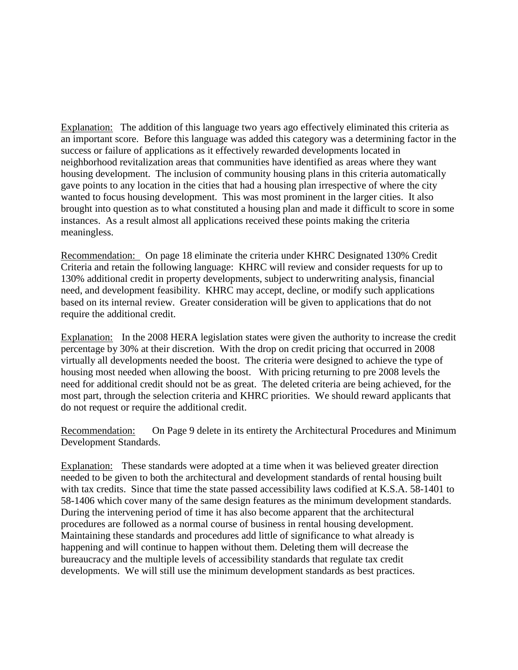Explanation: The addition of this language two years ago effectively eliminated this criteria as an important score. Before this language was added this category was a determining factor in the success or failure of applications as it effectively rewarded developments located in neighborhood revitalization areas that communities have identified as areas where they want housing development. The inclusion of community housing plans in this criteria automatically gave points to any location in the cities that had a housing plan irrespective of where the city wanted to focus housing development. This was most prominent in the larger cities. It also brought into question as to what constituted a housing plan and made it difficult to score in some instances. As a result almost all applications received these points making the criteria meaningless.

Recommendation: On page 18 eliminate the criteria under KHRC Designated 130% Credit Criteria and retain the following language: KHRC will review and consider requests for up to 130% additional credit in property developments, subject to underwriting analysis, financial need, and development feasibility. KHRC may accept, decline, or modify such applications based on its internal review. Greater consideration will be given to applications that do not require the additional credit.

Explanation: In the 2008 HERA legislation states were given the authority to increase the credit percentage by 30% at their discretion. With the drop on credit pricing that occurred in 2008 virtually all developments needed the boost. The criteria were designed to achieve the type of housing most needed when allowing the boost. With pricing returning to pre 2008 levels the need for additional credit should not be as great. The deleted criteria are being achieved, for the most part, through the selection criteria and KHRC priorities. We should reward applicants that do not request or require the additional credit.

Recommendation: On Page 9 delete in its entirety the Architectural Procedures and Minimum Development Standards.

Explanation: These standards were adopted at a time when it was believed greater direction needed to be given to both the architectural and development standards of rental housing built with tax credits. Since that time the state passed accessibility laws codified at K.S.A. 58-1401 to 58-1406 which cover many of the same design features as the minimum development standards. During the intervening period of time it has also become apparent that the architectural procedures are followed as a normal course of business in rental housing development. Maintaining these standards and procedures add little of significance to what already is happening and will continue to happen without them. Deleting them will decrease the bureaucracy and the multiple levels of accessibility standards that regulate tax credit developments. We will still use the minimum development standards as best practices.